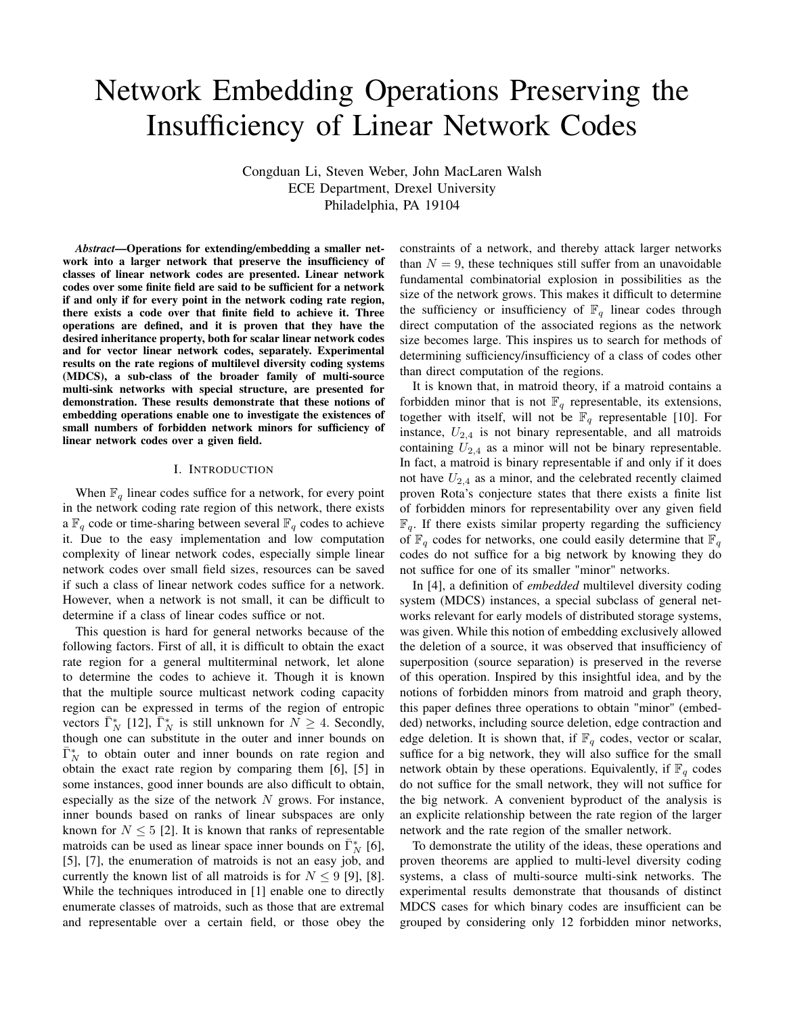# Network Embedding Operations Preserving the Insufficiency of Linear Network Codes

Congduan Li, Steven Weber, John MacLaren Walsh ECE Department, Drexel University Philadelphia, PA 19104

*Abstract*—Operations for extending/embedding a smaller network into a larger network that preserve the insufficiency of classes of linear network codes are presented. Linear network codes over some finite field are said to be sufficient for a network if and only if for every point in the network coding rate region, there exists a code over that finite field to achieve it. Three operations are defined, and it is proven that they have the desired inheritance property, both for scalar linear network codes and for vector linear network codes, separately. Experimental results on the rate regions of multilevel diversity coding systems (MDCS), a sub-class of the broader family of multi-source multi-sink networks with special structure, are presented for demonstration. These results demonstrate that these notions of embedding operations enable one to investigate the existences of small numbers of forbidden network minors for sufficiency of linear network codes over a given field.

#### I. INTRODUCTION

When  $\mathbb{F}_q$  linear codes suffice for a network, for every point in the network coding rate region of this network, there exists a  $\mathbb{F}_q$  code or time-sharing between several  $\mathbb{F}_q$  codes to achieve it. Due to the easy implementation and low computation complexity of linear network codes, especially simple linear network codes over small field sizes, resources can be saved if such a class of linear network codes suffice for a network. However, when a network is not small, it can be difficult to determine if a class of linear codes suffice or not.

This question is hard for general networks because of the following factors. First of all, it is difficult to obtain the exact rate region for a general multiterminal network, let alone to determine the codes to achieve it. Though it is known that the multiple source multicast network coding capacity region can be expressed in terms of the region of entropic vectors  $\bar{\Gamma}_N^*$  [12],  $\bar{\Gamma}_N^*$  is still unknown for  $N \geq 4$ . Secondly, though one can substitute in the outer and inner bounds on  $\bar{\Gamma}_N^*$  to obtain outer and inner bounds on rate region and obtain the exact rate region by comparing them [6], [5] in some instances, good inner bounds are also difficult to obtain, especially as the size of the network  $N$  grows. For instance, inner bounds based on ranks of linear subspaces are only known for  $N \leq 5$  [2]. It is known that ranks of representable matroids can be used as linear space inner bounds on  $\bar{\Gamma}_N^*$  [6], [5], [7], the enumeration of matroids is not an easy job, and currently the known list of all matroids is for  $N \leq 9$  [9], [8]. While the techniques introduced in [1] enable one to directly enumerate classes of matroids, such as those that are extremal and representable over a certain field, or those obey the constraints of a network, and thereby attack larger networks than  $N = 9$ , these techniques still suffer from an unavoidable fundamental combinatorial explosion in possibilities as the size of the network grows. This makes it difficult to determine the sufficiency or insufficiency of  $\mathbb{F}_q$  linear codes through direct computation of the associated regions as the network size becomes large. This inspires us to search for methods of determining sufficiency/insufficiency of a class of codes other than direct computation of the regions.

It is known that, in matroid theory, if a matroid contains a forbidden minor that is not  $\mathbb{F}_q$  representable, its extensions, together with itself, will not be  $\mathbb{F}_q$  representable [10]. For instance,  $U_{2,4}$  is not binary representable, and all matroids containing  $U_{2,4}$  as a minor will not be binary representable. In fact, a matroid is binary representable if and only if it does not have  $U_{2,4}$  as a minor, and the celebrated recently claimed proven Rota's conjecture states that there exists a finite list of forbidden minors for representability over any given field  $\mathbb{F}_q$ . If there exists similar property regarding the sufficiency of  $\mathbb{F}_q$  codes for networks, one could easily determine that  $\mathbb{F}_q$ codes do not suffice for a big network by knowing they do not suffice for one of its smaller "minor" networks.

In [4], a definition of *embedded* multilevel diversity coding system (MDCS) instances, a special subclass of general networks relevant for early models of distributed storage systems, was given. While this notion of embedding exclusively allowed the deletion of a source, it was observed that insufficiency of superposition (source separation) is preserved in the reverse of this operation. Inspired by this insightful idea, and by the notions of forbidden minors from matroid and graph theory, this paper defines three operations to obtain "minor" (embedded) networks, including source deletion, edge contraction and edge deletion. It is shown that, if  $\mathbb{F}_q$  codes, vector or scalar, suffice for a big network, they will also suffice for the small network obtain by these operations. Equivalently, if  $\mathbb{F}_q$  codes do not suffice for the small network, they will not suffice for the big network. A convenient byproduct of the analysis is an explicite relationship between the rate region of the larger network and the rate region of the smaller network.

To demonstrate the utility of the ideas, these operations and proven theorems are applied to multi-level diversity coding systems, a class of multi-source multi-sink networks. The experimental results demonstrate that thousands of distinct MDCS cases for which binary codes are insufficient can be grouped by considering only 12 forbidden minor networks,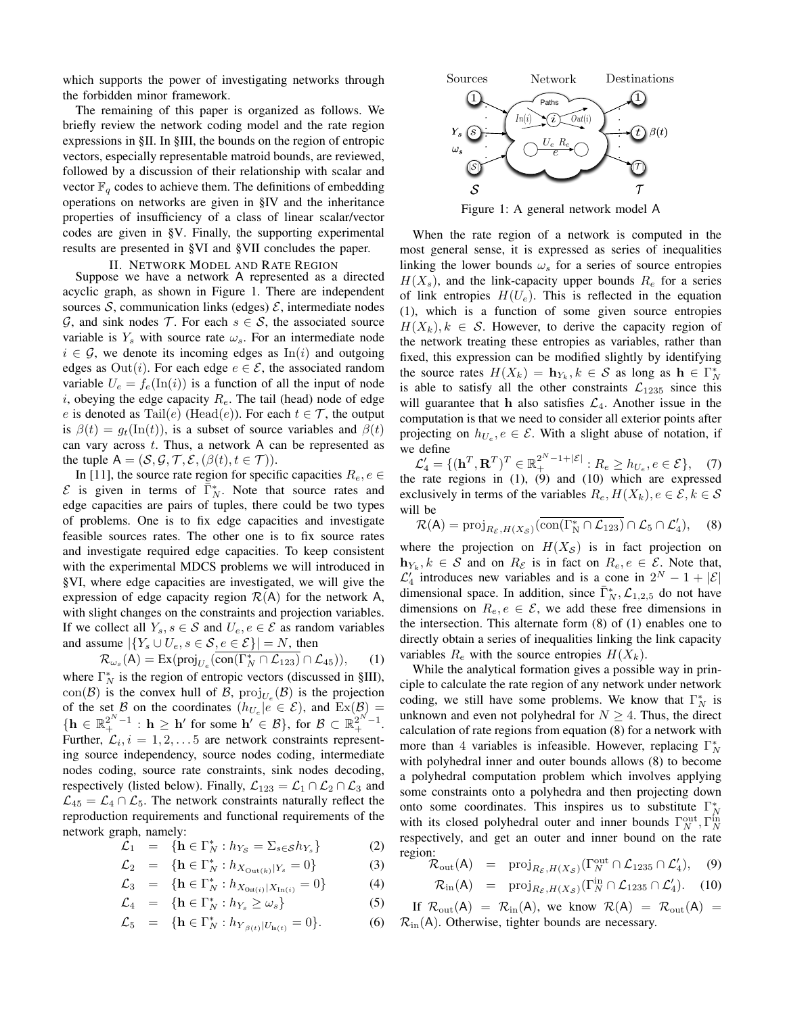which supports the power of investigating networks through the forbidden minor framework.

The remaining of this paper is organized as follows. We briefly review the network coding model and the rate region expressions in §II. In §III, the bounds on the region of entropic vectors, especially representable matroid bounds, are reviewed, followed by a discussion of their relationship with scalar and vector  $\mathbb{F}_q$  codes to achieve them. The definitions of embedding operations on networks are given in §IV and the inheritance properties of insufficiency of a class of linear scalar/vector codes are given in §V. Finally, the supporting experimental results are presented in §VI and §VII concludes the paper.

# II. NETWORK MODEL AND RATE REGION

Suppose we have a network A represented as a directed acyclic graph, as shown in Figure 1. There are independent sources S, communication links (edges)  $\mathcal{E}$ , intermediate nodes G, and sink nodes T. For each  $s \in S$ , the associated source variable is  $Y_s$  with source rate  $\omega_s$ . For an intermediate node  $i \in \mathcal{G}$ , we denote its incoming edges as  $\text{In}(i)$  and outgoing edges as  $Out(i)$ . For each edge  $e \in \mathcal{E}$ , the associated random variable  $U_e = f_e(\text{In}(i))$  is a function of all the input of node i, obeying the edge capacity  $R_e$ . The tail (head) node of edge e is denoted as Tail $(e)$  (Head $(e)$ ). For each  $t \in \mathcal{T}$ , the output is  $\beta(t) = g_t(\text{In}(t))$ , is a subset of source variables and  $\beta(t)$ can vary across  $t$ . Thus, a network  $A$  can be represented as the tuple  $A = (S, \mathcal{G}, \mathcal{T}, \mathcal{E}, (\beta(t), t \in \mathcal{T})).$ 

In [11], the source rate region for specific capacities  $R_e, e \in$  $\mathcal E$  is given in terms of  $\overline{\Gamma}_N^*$ . Note that source rates and edge capacities are pairs of tuples, there could be two types of problems. One is to fix edge capacities and investigate feasible sources rates. The other one is to fix source rates and investigate required edge capacities. To keep consistent with the experimental MDCS problems we will introduced in §VI, where edge capacities are investigated, we will give the expression of edge capacity region  $\mathcal{R}(A)$  for the network A, with slight changes on the constraints and projection variables. If we collect all  $Y_s$ ,  $s \in \mathcal{S}$  and  $U_e$ ,  $e \in \mathcal{E}$  as random variables and assume  $|\{Y_s \cup U_e, s \in \mathcal{S}, e \in \mathcal{E}\}| = N$ , then

 $\mathcal{R}_{\omega_s}(\mathsf{A}) = \text{Ex}(\text{proj}_{U_e}(\text{con}(\Gamma_N^* \cap \mathcal{L}_{123}) \cap \mathcal{L}_{45})),$  (1) where  $\Gamma_N^*$  is the region of entropic vectors (discussed in §III), con(B) is the convex hull of B,  $proj_{U_e}(\mathcal{B})$  is the projection of the set B on the coordinates  $(h_{U_e}|e \in \mathcal{E})$ , and  $\text{Ex}(\mathcal{B}) =$  $\{\mathbf h\in\mathbb{R}_+^{2^N-1}: \mathbf h\geq \mathbf h' \text{ for some } \mathbf h'\in\mathcal{B}\}, \text{ for } \mathcal{B}\subset\mathbb{R}_+^{2^N-1}.$ Further,  $\mathcal{L}_i$ ,  $i = 1, 2, \dots 5$  are network constraints representing source independency, source nodes coding, intermediate nodes coding, source rate constraints, sink nodes decoding, respectively (listed below). Finally,  $\mathcal{L}_{123} = \mathcal{L}_1 \cap \mathcal{L}_2 \cap \mathcal{L}_3$  and  $\mathcal{L}_{45} = \mathcal{L}_4 \cap \mathcal{L}_5$ . The network constraints naturally reflect the reproduction requirements and functional requirements of the network graph, namely:

$$
\mathcal{L}_1 = \{ \mathbf{h} \in \Gamma_N^* : h_{Y_{\mathcal{S}}} = \Sigma_{s \in \mathcal{S}} h_{Y_s} \} \tag{2}
$$

$$
\mathcal{L}_2 = \{ \mathbf{h} \in \Gamma_N^* : h_{X_{\text{Out}(k)}|Y_s} = 0 \}
$$
 (3)

$$
\mathcal{L}_3 = \{ \mathbf{h} \in \Gamma_N^* : h_{X_{\text{Out}(i)}} | X_{\text{In}(i)} = 0 \}
$$
 (4)

$$
\mathcal{L}_4 = \{ \mathbf{h} \in \Gamma_N^* : h_{Y_s} \ge \omega_s \} \tag{5}
$$

$$
\mathcal{L}_5 = \{ \mathbf{h} \in \Gamma_N^* : h_{Y_{\beta(t)}|U_{\ln(t)}} = 0 \}.
$$
 (6)



Figure 1: A general network model A

When the rate region of a network is computed in the most general sense, it is expressed as series of inequalities linking the lower bounds  $\omega_s$  for a series of source entropies  $H(X_s)$ , and the link-capacity upper bounds  $R_e$  for a series of link entropies  $H(U_e)$ . This is reflected in the equation (1), which is a function of some given source entropies  $H(X_k), k \in \mathcal{S}$ . However, to derive the capacity region of the network treating these entropies as variables, rather than fixed, this expression can be modified slightly by identifying the source rates  $H(X_k) = \mathbf{h}_{Y_k}, k \in S$  as long as  $\mathbf{h} \in \Gamma_N^*$ is able to satisfy all the other constraints  $\mathcal{L}_{1235}$  since this will guarantee that h also satisfies  $\mathcal{L}_4$ . Another issue in the computation is that we need to consider all exterior points after projecting on  $h_{U_e}, e \in \mathcal{E}$ . With a slight abuse of notation, if we define

 $\mathcal{L}'_4 = \{ (\mathbf{h}^T, \mathbf{R}^T)^T \in \mathbb{R}_+^{2^N - 1 + |\mathcal{E}|} : R_e \ge h_{U_e}, e \in \mathcal{E} \},\tag{7}$ the rate regions in (1), (9) and (10) which are expressed exclusively in terms of the variables  $R_e$ ,  $H(X_k)$ ,  $e \in \mathcal{E}$ ,  $k \in \mathcal{S}$ will be

$$
\mathcal{R}(\mathsf{A}) = \operatorname{proj}_{R_{\mathcal{E}}, H(X_{\mathcal{S}})}(\overline{\operatorname{con}(\Gamma_{\mathsf{N}}^* \cap \mathcal{L}_{123})} \cap \mathcal{L}_5 \cap \mathcal{L}_4'), \quad (8)
$$

where the projection on  $H(X_{\mathcal{S}})$  is in fact projection on  $\mathbf{h}_{Y_k}, k \in \mathcal{S}$  and on  $R_{\varepsilon}$  is in fact on  $R_{e}, e \in \mathcal{E}$ . Note that,  $\mathcal{L}'_4$  introduces new variables and is a cone in  $2^N - 1 + |\mathcal{E}|$ dimensional space. In addition, since  $\bar{\Gamma}_N^*, \mathcal{L}_{1,2,5}$  do not have dimensions on  $R_e, e \in \mathcal{E}$ , we add these free dimensions in the intersection. This alternate form (8) of (1) enables one to directly obtain a series of inequalities linking the link capacity variables  $R_e$  with the source entropies  $H(X_k)$ .

While the analytical formation gives a possible way in principle to calculate the rate region of any network under network coding, we still have some problems. We know that  $\Gamma_N^*$  is unknown and even not polyhedral for  $N \geq 4$ . Thus, the direct calculation of rate regions from equation (8) for a network with more than 4 variables is infeasible. However, replacing  $\Gamma_N^*$ with polyhedral inner and outer bounds allows (8) to become a polyhedral computation problem which involves applying some constraints onto a polyhedra and then projecting down onto some coordinates. This inspires us to substitute  $\Gamma_N^*$ with its closed polyhedral outer and inner bounds  $\Gamma_N^{\text{out}}, \Gamma_N^{\text{in}}$ respectively, and get an outer and inner bound on the rate region:

$$
\mathcal{R}_{\text{out}}(\mathsf{A}) = \text{proj}_{R_{\mathcal{E}}, H(X_{\mathcal{S}})}(\Gamma_N^{\text{out}} \cap \mathcal{L}_{1235} \cap \mathcal{L}_4'), \quad (9)
$$

$$
\mathcal{R}_{\text{in}}(\mathsf{A}) = \text{proj}_{R_{\mathcal{E}}, H(X_{\mathcal{S}})}(\Gamma_N^{\text{in}} \cap \mathcal{L}_{1235} \cap \mathcal{L}_4'). \quad (10)
$$

If  $\mathcal{R}_{out}(A) = \mathcal{R}_{in}(A)$ , we know  $\mathcal{R}(A) = \mathcal{R}_{out}(A) =$  $\mathcal{R}_{\text{in}}(A)$ . Otherwise, tighter bounds are necessary.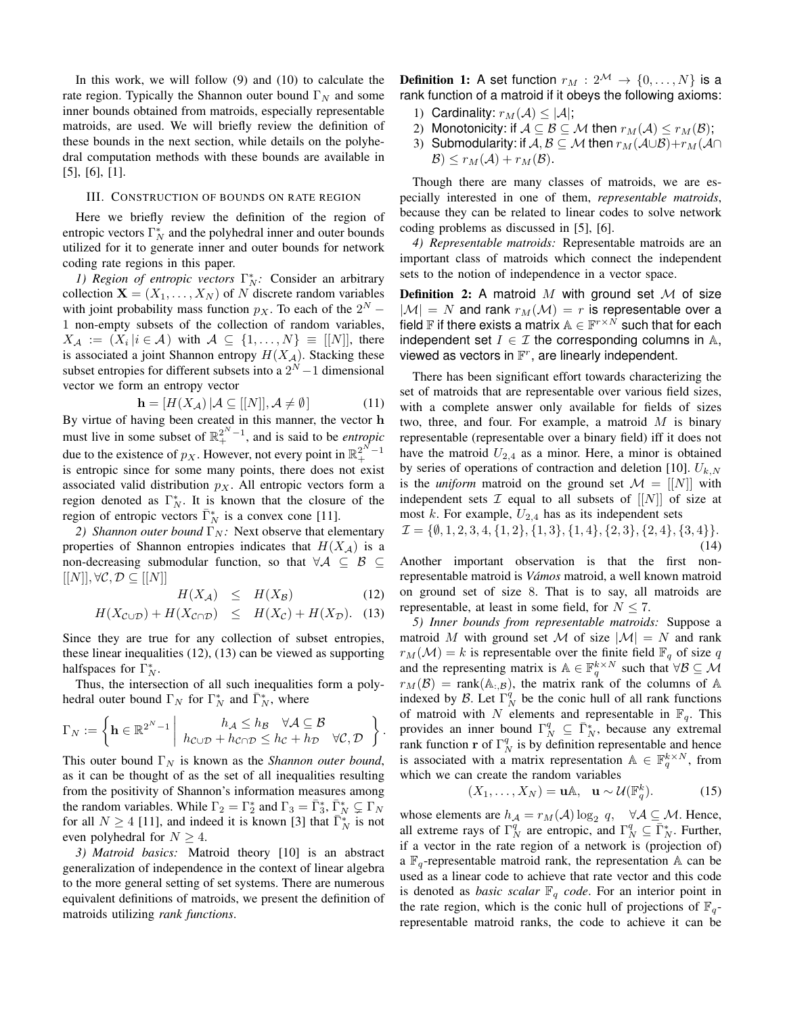In this work, we will follow (9) and (10) to calculate the rate region. Typically the Shannon outer bound  $\Gamma_N$  and some inner bounds obtained from matroids, especially representable matroids, are used. We will briefly review the definition of these bounds in the next section, while details on the polyhedral computation methods with these bounds are available in [5], [6], [1].

## III. CONSTRUCTION OF BOUNDS ON RATE REGION

Here we briefly review the definition of the region of entropic vectors  $\Gamma_N^*$  and the polyhedral inner and outer bounds utilized for it to generate inner and outer bounds for network coding rate regions in this paper.

*1) Region of entropic vectors*  $\Gamma_N^*$ : Consider an arbitrary collection  $X = (X_1, \ldots, X_N)$  of N discrete random variables with joint probability mass function  $p_X$ . To each of the  $2^N$  – 1 non-empty subsets of the collection of random variables,  $X_{\mathcal{A}} := (X_i | i \in \mathcal{A})$  with  $\mathcal{A} \subseteq \{1, ..., N\} \equiv [[N]],$  there is associated a joint Shannon entropy  $H(X_{\mathcal{A}})$ . Stacking these subset entropies for different subsets into a  $2^N - 1$  dimensional vector we form an entropy vector

$$
\mathbf{h} = [H(X_{\mathcal{A}}) | \mathcal{A} \subseteq [[N]], \mathcal{A} \neq \emptyset]
$$
 (11)

By virtue of having been created in this manner, the vector h must live in some subset of  $\mathbb{R}^{2^N-1}_+$ , and is said to be *entropic* due to the existence of  $p_X$ . However, not every point in  $\mathbb{R}^{2^N-1}_+$ is entropic since for some many points, there does not exist associated valid distribution  $p<sub>X</sub>$ . All entropic vectors form a region denoted as  $\Gamma_N^*$ . It is known that the closure of the region of entropic vectors  $\bar{\Gamma}_N^*$  is a convex cone [11].

*2) Shannon outer bound*  $\Gamma_N$ *:* Next observe that elementary properties of Shannon entropies indicates that  $H(X_{\mathcal{A}})$  is a non-decreasing submodular function, so that  $\forall A \subseteq B \subseteq$  $[[N]], \forall \mathcal{C}, \mathcal{D} \subseteq [[N]]$ 

$$
H(X_{\mathcal{A}}) \leq H(X_{\mathcal{B}}) \tag{12}
$$

$$
H(X_{\mathcal{C}\cup\mathcal{D}})+H(X_{\mathcal{C}\cap\mathcal{D}}) \leq H(X_{\mathcal{C}})+H(X_{\mathcal{D}}). \quad (13)
$$

Since they are true for any collection of subset entropies, these linear inequalities (12), (13) can be viewed as supporting halfspaces for  $\Gamma_N^*$ .

Thus, the intersection of all such inequalities form a polyhedral outer bound  $\Gamma_N$  for  $\Gamma_N^*$  and  $\overline{\Gamma_N^*}$ , where

$$
\Gamma_N := \left\{ \mathbf{h} \in \mathbb{R}^{2^N - 1} \middle| h_{\mathcal{C} \cup \mathcal{D}} + h_{\mathcal{C} \cap \mathcal{D}} \leq h_{\mathcal{C}} + h_{\mathcal{D}} \quad \forall \mathcal{C}, \mathcal{D} \right\}.
$$

This outer bound  $\Gamma_N$  is known as the *Shannon outer bound*, as it can be thought of as the set of all inequalities resulting from the positivity of Shannon's information measures among the random variables. While  $\Gamma_2 = \Gamma_2^*$  and  $\Gamma_3 = \bar{\Gamma}_3^*, \bar{\Gamma}_N^* \subsetneq \Gamma_N$ for all  $N \ge 4$  [11], and indeed it is known [3] that  $\overline{\Gamma}_N^*$  is not even polyhedral for  $N \geq 4$ .

*3) Matroid basics:* Matroid theory [10] is an abstract generalization of independence in the context of linear algebra to the more general setting of set systems. There are numerous equivalent definitions of matroids, we present the definition of matroids utilizing *rank functions*.

**Definition 1:** A set function  $r_M : 2^M \rightarrow \{0, ..., N\}$  is a rank function of a matroid if it obeys the following axioms:

- 1) Cardinality:  $r_M(\mathcal{A}) \leq |\mathcal{A}|$ ;
- 2) Monotonicity: if  $A \subseteq B \subseteq M$  then  $r_M(A) \leq r_M(B)$ ;
- 3) Submodularity: if  $A, B \subseteq M$  then  $r_M(A \cup B)+r_M(A \cap$  $\mathcal{B}) \leq r_M(\mathcal{A}) + r_M(\mathcal{B}).$

Though there are many classes of matroids, we are especially interested in one of them, *representable matroids*, because they can be related to linear codes to solve network coding problems as discussed in [5], [6].

*4) Representable matroids:* Representable matroids are an important class of matroids which connect the independent sets to the notion of independence in a vector space.

Definition 2: A matroid  $M$  with ground set  $M$  of size  $|M| = N$  and rank  $r_M(\mathcal{M}) = r$  is representable over a field  $\mathbb F$  if there exists a matrix  $\mathbb A\in \mathbb F^{r\times N}$  such that for each independent set  $I \in \mathcal{I}$  the corresponding columns in A, viewed as vectors in  $\mathbb{F}^r$ , are linearly independent.

There has been significant effort towards characterizing the set of matroids that are representable over various field sizes, with a complete answer only available for fields of sizes two, three, and four. For example, a matroid  $M$  is binary representable (representable over a binary field) iff it does not have the matroid  $U_{2,4}$  as a minor. Here, a minor is obtained by series of operations of contraction and deletion [10].  $U_{k,N}$ is the *uniform* matroid on the ground set  $\mathcal{M} = [[N]]$  with independent sets  $\mathcal I$  equal to all subsets of  $[[N]]$  of size at most k. For example,  $U_{2,4}$  has as its independent sets

 $\mathcal{I} = \{\emptyset, 1, 2, 3, 4, \{1, 2\}, \{1, 3\}, \{1, 4\}, \{2, 3\}, \{2, 4\}, \{3, 4\}\}.$ (14)

Another important observation is that the first nonrepresentable matroid is *Vámos* matroid, a well known matroid on ground set of size 8. That is to say, all matroids are representable, at least in some field, for  $N \le 7$ .

*5) Inner bounds from representable matroids:* Suppose a matroid M with ground set M of size  $|M| = N$  and rank  $r_M(\mathcal{M}) = k$  is representable over the finite field  $\mathbb{F}_q$  of size q and the representing matrix is  $\mathbb{A} \in \mathbb{F}_q^{k \times N}$  such that  $\forall \mathcal{B} \subseteq \mathcal{M}$  $r_M(\mathcal{B}) = \text{rank}(\mathbb{A}_{:,\mathcal{B}})$ , the matrix rank of the columns of A indexed by B. Let  $\Gamma_N^q$  be the conic hull of all rank functions of matroid with N elements and representable in  $\mathbb{F}_q$ . This provides an inner bound  $\Gamma_N^q \subseteq \overline{\Gamma_N^*}$ , because any extremal rank function **r** of  $\Gamma_N^q$  is by definition representable and hence is associated with a matrix representation  $A \in \mathbb{F}_q^{k \times N}$ , from which we can create the random variables

$$
(X_1, \ldots, X_N) = \mathbf{u} \mathbb{A}, \quad \mathbf{u} \sim \mathcal{U}(\mathbb{F}_q^k). \tag{15}
$$

whose elements are  $h_{\mathcal{A}} = r_M(\mathcal{A}) \log_2 q$ ,  $\forall \mathcal{A} \subseteq \mathcal{M}$ . Hence, all extreme rays of  $\Gamma_N^q$  are entropic, and  $\Gamma_N^q \subseteq \overline{\Gamma}_N^*$ . Further, if a vector in the rate region of a network is (projection of) a  $\mathbb{F}_q$ -representable matroid rank, the representation A can be used as a linear code to achieve that rate vector and this code is denoted as *basic scalar*  $\mathbb{F}_q$  *code*. For an interior point in the rate region, which is the conic hull of projections of  $\mathbb{F}_q$ representable matroid ranks, the code to achieve it can be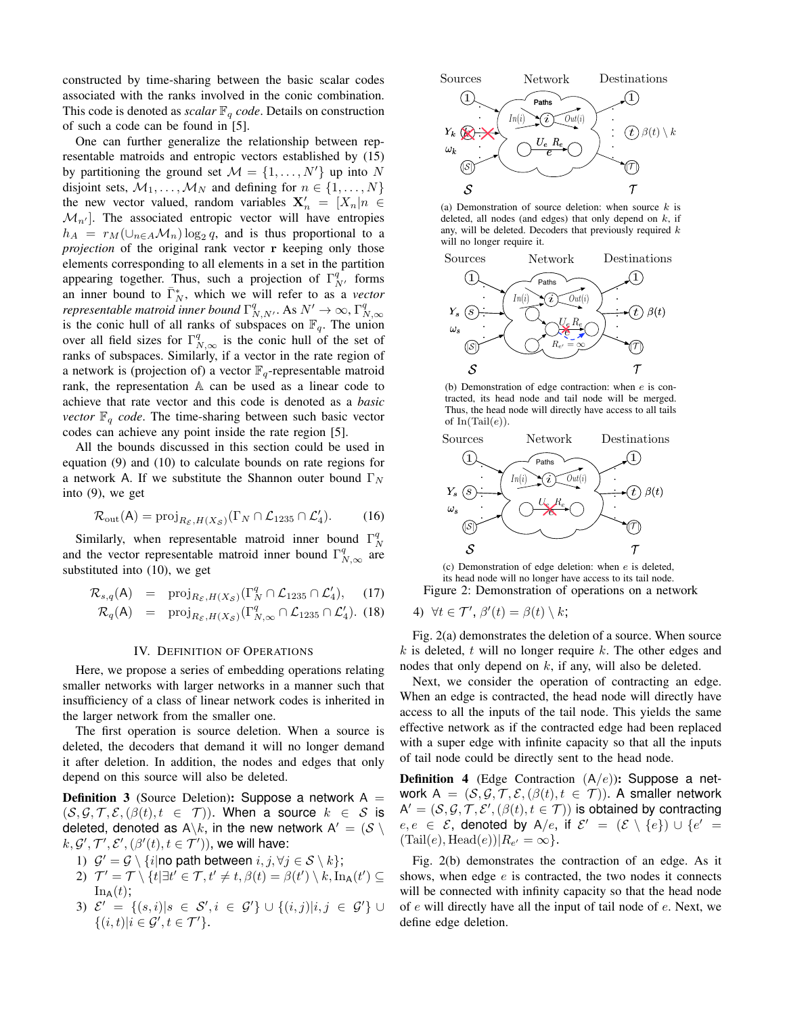constructed by time-sharing between the basic scalar codes associated with the ranks involved in the conic combination. This code is denoted as *scalar*  $\mathbb{F}_q$  *code*. Details on construction of such a code can be found in [5].

One can further generalize the relationship between representable matroids and entropic vectors established by (15) by partitioning the ground set  $M = \{1, \ldots, N'\}$  up into N disjoint sets,  $M_1, \ldots, M_N$  and defining for  $n \in \{1, \ldots, N\}$ the new vector valued, random variables  $X'_n = [X_n]n \in$  $\mathcal{M}_{n'}$ ]. The associated entropic vector will have entropies  $h_A = r_M(\cup_{n \in A} \mathcal{M}_n) \log_2 q$ , and is thus proportional to a *projection* of the original rank vector **r** keeping only those elements corresponding to all elements in a set in the partition appearing together. Thus, such a projection of  $\Gamma_{N'}^q$  forms an inner bound to  $\bar{\Gamma}_N^*$ , which we will refer to as a *vector representable matroid inner bound*  $\Gamma^q_{N,N'}$ . As  $N' \to \infty$ ,  $\Gamma^q_{N,\infty}$ is the conic hull of all ranks of subspaces on  $\mathbb{F}_q$ . The union over all field sizes for  $\Gamma_{N,\infty}^q$  is the conic hull of the set of ranks of subspaces. Similarly, if a vector in the rate region of a network is (projection of) a vector  $\mathbb{F}_q$ -representable matroid rank, the representation A can be used as a linear code to achieve that rate vector and this code is denoted as a *basic vector*  $\mathbb{F}_q$  *code*. The time-sharing between such basic vector codes can achieve any point inside the rate region [5].

All the bounds discussed in this section could be used in equation (9) and (10) to calculate bounds on rate regions for a network A. If we substitute the Shannon outer bound  $\Gamma_N$ into (9), we get

$$
\mathcal{R}_{\text{out}}(\mathsf{A}) = \text{proj}_{R_{\mathcal{E}}, H(X_{\mathcal{S}})}(\Gamma_N \cap \mathcal{L}_{1235} \cap \mathcal{L}_4').
$$
 (16)

Similarly, when representable matroid inner bound  $\Gamma_N^q$ and the vector representable matroid inner bound  $\Gamma_{N,\infty}^q$  are substituted into (10), we get

$$
\mathcal{R}_{s,q}(\mathsf{A}) = \text{proj}_{R_{\mathcal{E}},H(X_{\mathcal{S}})}(\Gamma_N^q \cap \mathcal{L}_{1235} \cap \mathcal{L}_4'), \quad (17)
$$

$$
\mathcal{R}_q(\mathsf{A}) = \text{proj}_{R_{\mathcal{E}}, H(X_{\mathcal{S}})}(\Gamma^q_{N,\infty} \cap \mathcal{L}_{1235} \cap \mathcal{L}'_4). (18)
$$

#### IV. DEFINITION OF OPERATIONS

Here, we propose a series of embedding operations relating smaller networks with larger networks in a manner such that insufficiency of a class of linear network codes is inherited in the larger network from the smaller one.

The first operation is source deletion. When a source is deleted, the decoders that demand it will no longer demand it after deletion. In addition, the nodes and edges that only depend on this source will also be deleted.

**Definition 3** (Source Deletion): Suppose a network  $A =$  $(S, \mathcal{G}, \mathcal{T}, \mathcal{E}, (\beta(t), t \in \mathcal{T}))$ . When a source  $k \in \mathcal{S}$  is deleted, denoted as  $A \backslash k$ , in the new network  $A' = (\mathcal{S} \backslash k)$  $k, \mathcal{G}', \mathcal{T}', \mathcal{E}', (\beta'(t), t \in \mathcal{T}'))$ , we will have:

- 1)  $\mathcal{G}' = \mathcal{G} \setminus \{i | \text{no path between } i, j, \forall j \in \mathcal{S} \setminus k\},\$
- 2)  $\mathcal{T}' = \mathcal{T} \setminus \{t | \exists t' \in \mathcal{T}, t' \neq t, \beta(t) = \beta(t') \setminus k, \text{In}_{\mathsf{A}}(t') \subseteq$  $\text{In}_{\mathsf{A}}(t)$ ;
- 3)  $\mathcal{E}' = \{(s, i)|s \in \mathcal{S}', i \in \mathcal{G}'\} \cup \{(i, j)|i, j \in \mathcal{G}'\} \cup$  $\{(i,t)|i\in\mathcal{G}',t\in\mathcal{T}'\}.$



(a) Demonstration of source deletion: when source  $k$  is deleted, all nodes (and edges) that only depend on  $k$ , if any, will be deleted. Decoders that previously required  $k$ will no longer require it.



(b) Demonstration of edge contraction: when e is contracted, its head node and tail node will be merged. Thus, the head node will directly have access to all tails of  $In(Tail(e))$ .



(c) Demonstration of edge deletion: when e is deleted, its head node will no longer have access to its tail node. Figure 2: Demonstration of operations on a network

4) 
$$
\forall t \in \mathcal{T}', \beta'(t) = \beta(t) \setminus k;
$$

Fig. 2(a) demonstrates the deletion of a source. When source k is deleted, t will no longer require k. The other edges and nodes that only depend on  $k$ , if any, will also be deleted.

Next, we consider the operation of contracting an edge. When an edge is contracted, the head node will directly have access to all the inputs of the tail node. This yields the same effective network as if the contracted edge had been replaced with a super edge with infinite capacity so that all the inputs of tail node could be directly sent to the head node.

**Definition 4** (Edge Contraction  $(A/e)$ ): Suppose a network  $A = (S, \mathcal{G}, \mathcal{T}, \mathcal{E}, (\beta(t), t \in \mathcal{T}))$ . A smaller network  $A' = (\mathcal{S}, \mathcal{G}, \mathcal{T}, \mathcal{E}', (\beta(t), t \in \mathcal{T}))$  is obtained by contracting  $e, e \in \mathcal{E}$ , denoted by A/e, if  $\mathcal{E}' = (\mathcal{E} \setminus \{e\}) \cup \{e' =$  $(Tail(e), Head(e))|R_{e'} = \infty$ .

Fig. 2(b) demonstrates the contraction of an edge. As it shows, when edge  $e$  is contracted, the two nodes it connects will be connected with infinity capacity so that the head node of e will directly have all the input of tail node of e. Next, we define edge deletion.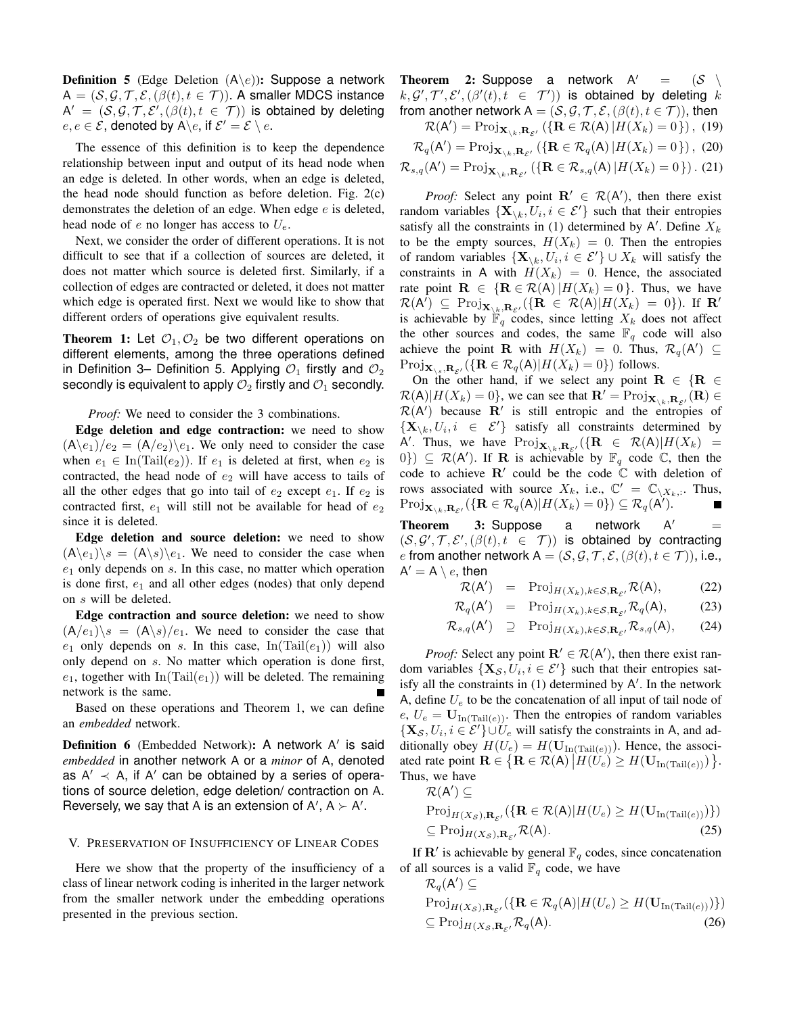**Definition 5** (Edge Deletion  $(A \leq e)$ ): Suppose a network  $A = (S, \mathcal{G}, \mathcal{T}, \mathcal{E}, (\beta(t), t \in \mathcal{T}))$ . A smaller MDCS instance  $\mathsf{A}' \ = \ (\mathcal{S}, \mathcal{G}, \mathcal{T}, \mathcal{E}', (\beta(t), t \ \in \ \mathcal{T}))$  is obtained by deleting  $e, e \in \mathcal{E}$ , denoted by A $\backslash e$ , if  $\mathcal{E}' = \mathcal{E} \setminus e$ .

The essence of this definition is to keep the dependence relationship between input and output of its head node when an edge is deleted. In other words, when an edge is deleted, the head node should function as before deletion. Fig. 2(c) demonstrates the deletion of an edge. When edge  $e$  is deleted, head node of  $e$  no longer has access to  $U_e$ .

Next, we consider the order of different operations. It is not difficult to see that if a collection of sources are deleted, it does not matter which source is deleted first. Similarly, if a collection of edges are contracted or deleted, it does not matter which edge is operated first. Next we would like to show that different orders of operations give equivalent results.

**Theorem 1:** Let  $\mathcal{O}_1, \mathcal{O}_2$  be two different operations on different elements, among the three operations defined in Definition 3– Definition 5. Applying  $\mathcal{O}_1$  firstly and  $\mathcal{O}_2$ secondly is equivalent to apply  $\mathcal{O}_2$  firstly and  $\mathcal{O}_1$  secondly.

*Proof:* We need to consider the 3 combinations.

Edge deletion and edge contraction: we need to show  $(A\backslash e_1)/e_2 = (A/e_2)\backslash e_1$ . We only need to consider the case when  $e_1 \in \text{In}(\text{Tail}(e_2))$ . If  $e_1$  is deleted at first, when  $e_2$  is contracted, the head node of  $e_2$  will have access to tails of all the other edges that go into tail of  $e_2$  except  $e_1$ . If  $e_2$  is contracted first,  $e_1$  will still not be available for head of  $e_2$ since it is deleted.

Edge deletion and source deletion: we need to show  $(A\backslash e_1)\backslash s = (A\backslash s)\backslash e_1$ . We need to consider the case when  $e_1$  only depends on  $s$ . In this case, no matter which operation is done first,  $e_1$  and all other edges (nodes) that only depend on s will be deleted.

Edge contraction and source deletion: we need to show  $(A/e_1)\$ <sub>s</sub> =  $(A\backslash s)/e_1$ . We need to consider the case that  $e_1$  only depends on s. In this case, In(Tail $(e_1)$ ) will also only depend on s. No matter which operation is done first,  $e_1$ , together with In(Tail $(e_1)$ ) will be deleted. The remaining network is the same.

Based on these operations and Theorem 1, we can define an *embedded* network.

Definition 6 (Embedded Network): A network A' is said *embedded* in another network A or a *minor* of A, denoted as  $A' \prec A$ , if A' can be obtained by a series of operations of source deletion, edge deletion/ contraction on A. Reversely, we say that A is an extension of A',  $A \succ A'$ .

## V. PRESERVATION OF INSUFFICIENCY OF LINEAR CODES

Here we show that the property of the insufficiency of a class of linear network coding is inherited in the larger network from the smaller network under the embedding operations presented in the previous section.

Theorem 2: Suppose a network A  $(S \setminus$  $k, \mathcal{G}', \mathcal{T}', \mathcal{E}', (\beta'(t), t \in \mathcal{T}'))$  is obtained by deleting k from another network  $A = (S, \mathcal{G}, \mathcal{T}, \mathcal{E}, (\beta(t), t \in \mathcal{T}))$ , then  $\mathcal{R}(\mathsf{A}') = \text{Proj}_{\mathbf{X}_{\setminus k},\mathbf{R}_{\mathcal{E}'}} (\{\mathbf{R} \in \mathcal{R}(\mathsf{A}) | H(X_k) = 0\}),$  (19)  $\mathcal{R}_q(\mathsf{A}') = \text{Proj}_{\mathbf{X}_{\setminus k},\mathbf{R}_{\mathcal{E}'}} (\{\mathbf{R} \in \mathcal{R}_q(\mathsf{A}) | H(X_k) = 0\}),\$ (20)  $\mathcal{R}_{s,q}(\mathsf{A}') = \text{Proj}_{\mathbf{X}_{\setminus k},\mathbf{R}_{\mathcal{E}'}} (\{\mathbf{R} \in \mathcal{R}_{s,q}(\mathsf{A}) | H(X_k) = 0\})$ . (21)

*Proof:* Select any point  $\mathbf{R}' \in \mathcal{R}(\mathsf{A}')$ , then there exist random variables  $\{X_{\setminus k}, U_i, i \in \mathcal{E}'\}$  such that their entropies satisfy all the constraints in (1) determined by  $A'$ . Define  $X_k$ to be the empty sources,  $H(X_k) = 0$ . Then the entropies of random variables  $\{X_{\backslash k}, U_i, i \in \mathcal{E}'\} \cup X_k$  will satisfy the constraints in A with  $H(X_k) = 0$ . Hence, the associated rate point  $\mathbf{R} \in {\rm R} \in \mathcal{R}(A) | H(X_k) = 0$ . Thus, we have  $\mathcal{R}(\mathsf{A}') \subseteq \text{Proj}_{\mathbf{X}_{\backslash k},\mathbf{R}_{\mathcal{E}'}}(\{\mathbf{R} \in \mathcal{R}(\mathsf{A})|H(X_k) = 0\}).$  If  $\mathbf{R}'$ is achievable by  $\mathbb{F}_q$  codes, since letting  $X_k$  does not affect the other sources and codes, the same  $\mathbb{F}_q$  code will also achieve the point **R** with  $H(X_k) = 0$ . Thus,  $\mathcal{R}_q(A') \subseteq$  $Proj_{\mathbf{X}_{\setminus s},\mathbf{R}_{\mathcal{E}'}}(\{\mathbf{R} \in \mathcal{R}_q(A)|H(X_k) = 0\})$  follows.

On the other hand, if we select any point  $R \in \{R \in \mathbb{R}\}$  $\mathcal{R}(A)|H(X_k) = 0\},$  we can see that  $\mathbf{R}' = \text{Proj}_{\mathbf{X}_{\setminus k},\mathbf{R}_{\mathcal{E}'}}(\mathbf{R}) \in \mathbb{R}$  $\mathcal{R}(A')$  because  $\mathbf{R}'$  is still entropic and the entropies of  $\{X_{\setminus k}, U_i, i \in \mathcal{E}'\}$  satisfy all constraints determined by A'. Thus, we have  $\text{Proj}_{\mathbf{X}_{\setminus k},\mathbf{R}_{\mathcal{E}'}}(\{\mathbf{R} \in \mathcal{R}(A)|H(X_k) =$  $(0)$ )  $\subseteq \mathcal{R}(A')$ . If **R** is achievable by  $\mathbb{F}_q$  code  $\mathbb{C}$ , then the code to achieve  $\mathbf{R}'$  could be the code  $\mathbb{C}$  with deletion of rows associated with source  $X_k$ , i.e.,  $\mathbb{C}' = \mathbb{C}_{X_k}$ . Thus,  $Proj_{\mathbf{X}_{\setminus k},\mathbf{R}_{\mathcal{E}'}}(\{\mathbf{R}\in\mathcal{R}_{q}(\mathsf{A})|H(X_{k})=0\})\subseteq\mathcal{R}_{q}(\mathsf{A}').$ Г

Theorem 3: Suppose a network A  $=$  $(S, \mathcal{G}', \mathcal{T}, \mathcal{E}', (\beta(t), t \in \mathcal{T}))$  is obtained by contracting e from another network  $A = (S, \mathcal{G}, \mathcal{T}, \mathcal{E}, (\beta(t), t \in \mathcal{T}))$ , i.e.,  $\mathsf{A}'=\mathsf{A}\setminus e,$  then

 $\mathcal{R}(\mathsf{A}') = \text{Proj}_{H(X_k), k \in \mathcal{S}, \mathbf{R}_{\mathcal{E}'}} \mathcal{R}(\mathsf{A}),$  (22)

$$
\mathcal{R}_q(\mathsf{A}') = \text{Proj}_{H(X_k), k \in \mathcal{S}, \mathbf{R}_{\mathcal{E}'}} \mathcal{R}_q(\mathsf{A}), \tag{23}
$$

$$
\mathcal{R}_{s,q}(\mathsf{A}') \quad \supseteq \quad \text{Proj}_{H(X_k), k \in \mathcal{S}, \mathbf{R}_{\mathcal{E}'}} \mathcal{R}_{s,q}(\mathsf{A}), \qquad (24)
$$

*Proof:* Select any point  $\mathbf{R}' \in \mathcal{R}(\mathbf{A}')$ , then there exist random variables  $\{X_{\mathcal{S}}, U_i, i \in \mathcal{E}'\}$  such that their entropies satisfy all the constraints in  $(1)$  determined by A'. In the network A, define  $U_e$  to be the concatenation of all input of tail node of  $e, U_e = U_{In(Tail(e))}.$  Then the entropies of random variables  $\{X_{\mathcal{S}}, U_i, i \in \mathcal{E}'\} \cup U_e$  will satisfy the constraints in A, and additionally obey  $H(U_e) = H(\mathbf{U}_{\text{In(Tail}(e))})$ . Hence, the associated rate point  $\mathbf{R} \in {\{ \mathbf{R} \in \mathcal{R}(A) | H(U_e) \geq H(\mathbf{U}_{\text{In(Tail}(e))}) \}.}$ Thus, we have

 $\mathcal{R}(\mathsf{A}') \subseteq$ 

$$
\text{Proj}_{H(X_{\mathcal{S}}), \mathbf{R}_{\mathcal{E}'}} (\{\mathbf{R} \in \mathcal{R}(A) | H(U_e) \ge H(\mathbf{U}_{\text{In(Tail}(e))})\})
$$
  
\n
$$
\subseteq \text{Proj}_{H(X_{\mathcal{S}}), \mathbf{R}_{\mathcal{E}'}} \mathcal{R}(A). \tag{25}
$$

If **R**' is achievable by general  $\mathbb{F}_q$  codes, since concatenation of all sources is a valid  $\mathbb{F}_q$  code, we have

$$
\mathcal{R}_q(\mathsf{A}') \subseteq \text{Proj}_{H(X_{\mathcal{S}}), \mathbf{R}_{\mathcal{E}'}} (\{\mathbf{R} \in \mathcal{R}_q(\mathsf{A}) | H(U_e) \ge H(\mathbf{U}_{\text{In(Tail}(e))})\})
$$
  
\n
$$
\subseteq \text{Proj}_{H(X_{\mathcal{S}}, \mathbf{R}_{\mathcal{E}'}} \mathcal{R}_q(\mathsf{A}).
$$
\n(26)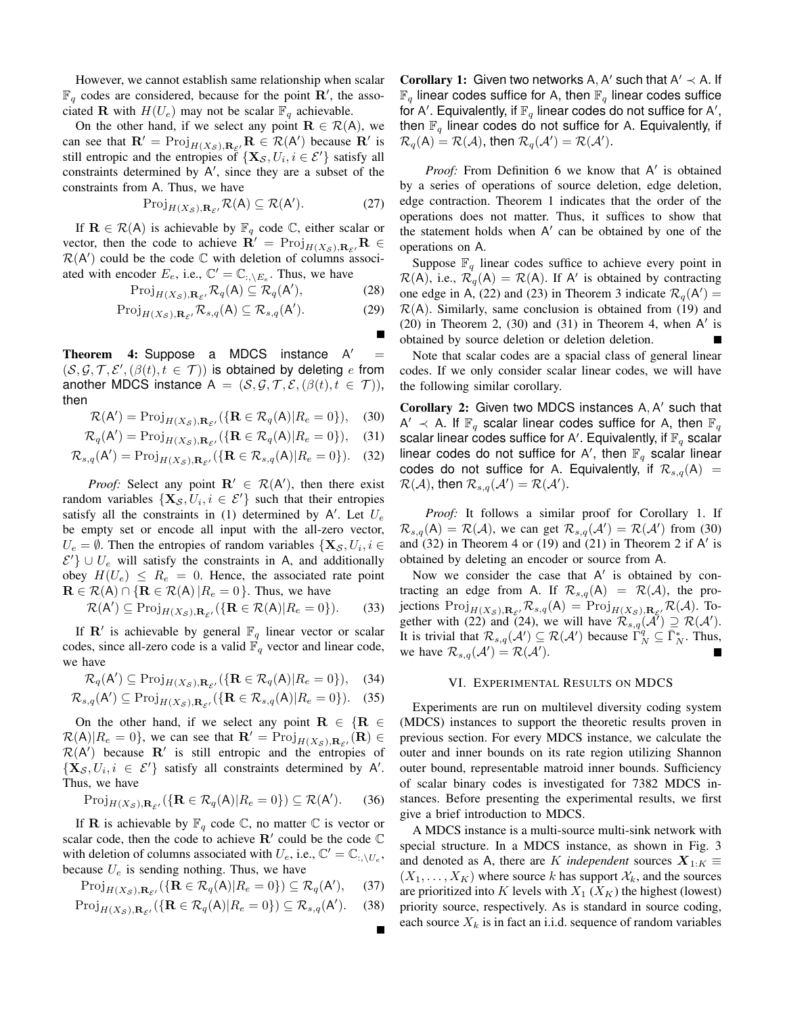However, we cannot establish same relationship when scalar  $\mathbb{F}_q$  codes are considered, because for the point  $\mathbf{R}'$ , the associated **R** with  $H(U_e)$  may not be scalar  $\mathbb{F}_q$  achievable.

On the other hand, if we select any point  $\mathbf{R} \in \mathcal{R}(A)$ , we can see that  $\mathbf{R}' = \text{Proj}_{H(X_{\mathcal{S}}),\mathbf{R}_{\mathcal{E}'}} \mathbf{R} \in \mathcal{R}(A')$  because  $\mathbf{R}'$  is still entropic and the entropies of  $\{X_{\mathcal{S}}, U_i, i \in \mathcal{E}'\}$  satisfy all constraints determined by  $A'$ , since they are a subset of the constraints from A. Thus, we have

$$
\operatorname{Proj}_{H(X_{\mathcal{S}}), \mathbf{R}_{\mathcal{E}'}} \mathcal{R}(\mathsf{A}) \subseteq \mathcal{R}(\mathsf{A}'). \tag{27}
$$

If  $\mathbf{R} \in \mathcal{R}(A)$  is achievable by  $\mathbb{F}_q$  code  $\mathbb{C}$ , either scalar or vector, then the code to achieve  $\mathbf{R}' = \text{Proj}_{H(X_{\mathcal{S}}),\mathbf{R}_{\mathcal{S}'}} \mathbf{R}$  $\mathcal{R}(A')$  could be the code  $\mathbb C$  with deletion of columns associated with encoder  $E_e$ , i.e.,  $\mathbb{C}' = \mathbb{C}_{:,\setminus E_e}$ . Thus, we have

$$
\operatorname{Proj}_{H(X_{\mathcal{S}}), \mathbf{R}_{\mathcal{E}'}} \mathcal{R}_q(\mathsf{A}) \subseteq \mathcal{R}_q(\mathsf{A}'),\tag{28}
$$

$$
\text{Proj}_{H(X_{\mathcal{S}}), \mathbf{R}_{\mathcal{E}'}} \mathcal{R}_{s,q}(\mathsf{A}) \subseteq \mathcal{R}_{s,q}(\mathsf{A}'). \tag{29}
$$

Theorem 4: Suppose a MDCS instance A'  $\prime$  =  $(S, \mathcal{G}, \mathcal{T}, \mathcal{E}', (\beta(t), t \in \mathcal{T}))$  is obtained by deleting e from another MDCS instance  $A = (S, \mathcal{G}, \mathcal{T}, \mathcal{E}, (\beta(t), t \in \mathcal{T})),$ then

$$
\mathcal{R}(\mathsf{A}') = \text{Proj}_{H(X_{\mathcal{S}}), \mathbf{R}_{\mathcal{E}'}} (\{\mathbf{R} \in \mathcal{R}_q(\mathsf{A}) | R_e = 0\}), \quad (30)
$$

$$
\mathcal{R}_q(\mathsf{A}') = \text{Proj}_{H(X_{\mathcal{S}}), \mathbf{R}_{\mathcal{E}'}} (\{\mathbf{R} \in \mathcal{R}_q(\mathsf{A}) | R_e = 0\}), \quad (31)
$$

$$
\mathcal{R}_{s,q}(\mathsf{A}') = \text{Proj}_{H(X_{\mathcal{S}}), \mathbf{R}_{\mathcal{E}'}}(\{\mathbf{R} \in \mathcal{R}_{s,q}(\mathsf{A}) | R_e = 0\}). \tag{32}
$$

*Proof:* Select any point  $\mathbf{R}' \in \mathcal{R}(\mathsf{A}')$ , then there exist random variables  $\{X_{\mathcal{S}}, U_i, i \in \mathcal{E}'\}$  such that their entropies satisfy all the constraints in (1) determined by A'. Let  $U_e$ be empty set or encode all input with the all-zero vector,  $U_e = \emptyset$ . Then the entropies of random variables  $\{X_{\mathcal{S}}, U_i, i \in$  $\mathcal{E}'$  ∪  $U_e$  will satisfy the constraints in A, and additionally obey  $H(U_e) \leq R_e = 0$ . Hence, the associated rate point  $\mathbf{R} \in \mathcal{R}(\mathsf{A}) \cap \{ \mathbf{R} \in \mathcal{R}(\mathsf{A}) | R_e = 0 \}.$  Thus, we have

$$
\mathcal{R}(\mathsf{A}') \subseteq \operatorname{Proj}_{H(X_{\mathcal{S}}), \mathbf{R}_{\mathcal{E}'}} (\{\mathbf{R} \in \mathcal{R}(\mathsf{A}) | R_{e} = 0\}).
$$
 (33)

If **R'** is achievable by general  $\mathbb{F}_q$  linear vector or scalar codes, since all-zero code is a valid  $\mathbb{F}_q$  vector and linear code, we have

$$
\mathcal{R}_q(\mathsf{A}') \subseteq \operatorname{Proj}_{H(X_{\mathcal{S}}), \mathbf{R}_{\mathcal{E}'}} (\{\mathbf{R} \in \mathcal{R}_q(\mathsf{A}) | R_e = 0\}), \quad (34)
$$

$$
\mathcal{R}_{s,q}(\mathsf{A}') \subseteq \operatorname{Proj}_{H(X_{\mathcal{S}}), \mathbf{R}_{\mathcal{E}'}}(\{\mathbf{R} \in \mathcal{R}_{s,q}(\mathsf{A}) | R_{e} = 0\}). \tag{35}
$$

On the other hand, if we select any point  $\mathbf{R} \in \{ \mathbf{R} \in \mathbb{R} \}$  $\mathcal{R}(A)|R_{\varepsilon} = 0$ , we can see that  $\mathbf{R}' = \text{Proj}_{H(X_{\mathcal{S}}), \mathbf{R}_{\mathcal{E}'}}(\mathbf{R}) \in \mathcal{R}(A)$  $\mathcal{R}(A')$  because  $\mathbf{R}'$  is still entropic and the entropies of  $\{X_{\mathcal{S}}, U_i, i \in \mathcal{E}'\}$  satisfy all constraints determined by A'. Thus, we have

$$
\text{Proj}_{H(X_{\mathcal{S}}), \mathbf{R}_{\mathcal{E}'}} (\{\mathbf{R} \in \mathcal{R}_q(\mathsf{A}) | R_e = 0\}) \subseteq \mathcal{R}(\mathsf{A}'). \tag{36}
$$

If **R** is achievable by  $\mathbb{F}_q$  code  $\mathbb{C}$ , no matter  $\mathbb{C}$  is vector or scalar code, then the code to achieve  $\mathbb{R}'$  could be the code  $\mathbb C$ with deletion of columns associated with  $U_e$ , i.e.,  $\mathbb{C}' = \mathbb{C}_{:,\setminus U_e}$ , because  $U_e$  is sending nothing. Thus, we have

$$
\text{Proj}_{H(X_{\mathcal{S}}), \mathbf{R}_{\mathcal{E}'}} (\{\mathbf{R} \in \mathcal{R}_q(\mathsf{A}) | R_e = 0\}) \subseteq \mathcal{R}_q(\mathsf{A}'), \quad (37)
$$

$$
\operatorname{Proj}_{H(X_{\mathcal{S}}), \mathbf{R}_{\mathcal{E}'}} (\{\mathbf{R} \in \mathcal{R}_q(\mathsf{A}) | R_e = 0\}) \subseteq \mathcal{R}_{s,q}(\mathsf{A}'). \tag{38}
$$

Corollary 1: Given two networks A, A' such that  $A' \prec A$ . If  $\mathbb{F}_q$  linear codes suffice for A, then  $\mathbb{F}_q$  linear codes suffice for A'. Equivalently, if  $\mathbb{F}_q$  linear codes do not suffice for A', then  $\mathbb{F}_q$  linear codes do not suffice for A. Equivalently, if  $\mathcal{R}_q(\mathsf{A}) = \mathcal{R}(\mathcal{A})$ , then  $\mathcal{R}_q(\mathcal{A}') = \mathcal{R}(\mathcal{A}').$ 

Proof: From Definition 6 we know that A' is obtained by a series of operations of source deletion, edge deletion, edge contraction. Theorem 1 indicates that the order of the operations does not matter. Thus, it suffices to show that the statement holds when  $A'$  can be obtained by one of the operations on A.

Suppose  $\mathbb{F}_q$  linear codes suffice to achieve every point in  $\mathcal{R}(A)$ , i.e.,  $\mathcal{R}_q(A) = \mathcal{R}(A)$ . If A' is obtained by contracting one edge in A, (22) and (23) in Theorem 3 indicate  $\mathcal{R}_q(A') =$  $\mathcal{R}(A)$ . Similarly, same conclusion is obtained from (19) and  $(20)$  in Theorem 2,  $(30)$  and  $(31)$  in Theorem 4, when A' is obtained by source deletion or deletion deletion.

Note that scalar codes are a spacial class of general linear codes. If we only consider scalar linear codes, we will have the following similar corollary.

Corollary 2: Given two MDCS instances A, A' such that  $A' \prec A$ . If  $\mathbb{F}_q$  scalar linear codes suffice for A, then  $\mathbb{F}_q$ scalar linear codes suffice for A'. Equivalently, if  $\mathbb{F}_q$  scalar linear codes do not suffice for A', then  $\mathbb{F}_q$  scalar linear codes do not suffice for A. Equivalently, if  $\mathcal{R}_{s,q}(\mathsf{A}) =$  $\mathcal{R}(\mathcal{A})$ , then  $\mathcal{R}_{s,q}(\mathcal{A}') = \mathcal{R}(\mathcal{A}').$ 

*Proof:* It follows a similar proof for Corollary 1. If  $\mathcal{R}_{s,q}(\mathsf{A}) = \mathcal{R}(\mathcal{A})$ , we can get  $\mathcal{R}_{s,q}(\mathcal{A}') = \mathcal{R}(\mathcal{A}')$  from (30) and  $(32)$  in Theorem 4 or  $(19)$  and  $(21)$  in Theorem 2 if A' is obtained by deleting an encoder or source from A.

Now we consider the case that  $A'$  is obtained by contracting an edge from A. If  $\mathcal{R}_{s,q}(A) = \mathcal{R}(\mathcal{A})$ , the projections  $\text{Proj}_{H(X_{\mathcal{S}}),\mathbf{R}_{\mathcal{E}}},\mathcal{R}_{s,q}(\mathsf{A}) = \text{Proj}_{H(X_{\mathcal{S}}),\mathbf{R}_{\mathcal{E}}},\mathcal{R}(\mathcal{A})$ . Together with (22) and (24), we will have  $\mathcal{R}_{s,q}(\mathcal{A}') \supseteq \mathcal{R}(\mathcal{A}')$ . It is trivial that  $\mathcal{R}_{s,q}(\mathcal{A}') \subseteq \mathcal{R}(\mathcal{A}')$  because  $\Gamma_N^q \subseteq \overline{\Gamma}_N^*$ . Thus, we have  $\mathcal{R}_{s,q}(\mathcal{A}') = \mathcal{R}(\mathcal{A}')$ .

## VI. EXPERIMENTAL RESULTS ON MDCS

Experiments are run on multilevel diversity coding system (MDCS) instances to support the theoretic results proven in previous section. For every MDCS instance, we calculate the outer and inner bounds on its rate region utilizing Shannon outer bound, representable matroid inner bounds. Sufficiency of scalar binary codes is investigated for 7382 MDCS instances. Before presenting the experimental results, we first give a brief introduction to MDCS.

A MDCS instance is a multi-source multi-sink network with special structure. In a MDCS instance, as shown in Fig. 3 and denoted as A, there are K *independent* sources  $X_{1:K} \equiv$  $(X_1, \ldots, X_K)$  where source k has support  $\mathcal{X}_k$ , and the sources are prioritized into K levels with  $X_1$  ( $X_K$ ) the highest (lowest) priority source, respectively. As is standard in source coding, each source  $X_k$  is in fact an i.i.d. sequence of random variables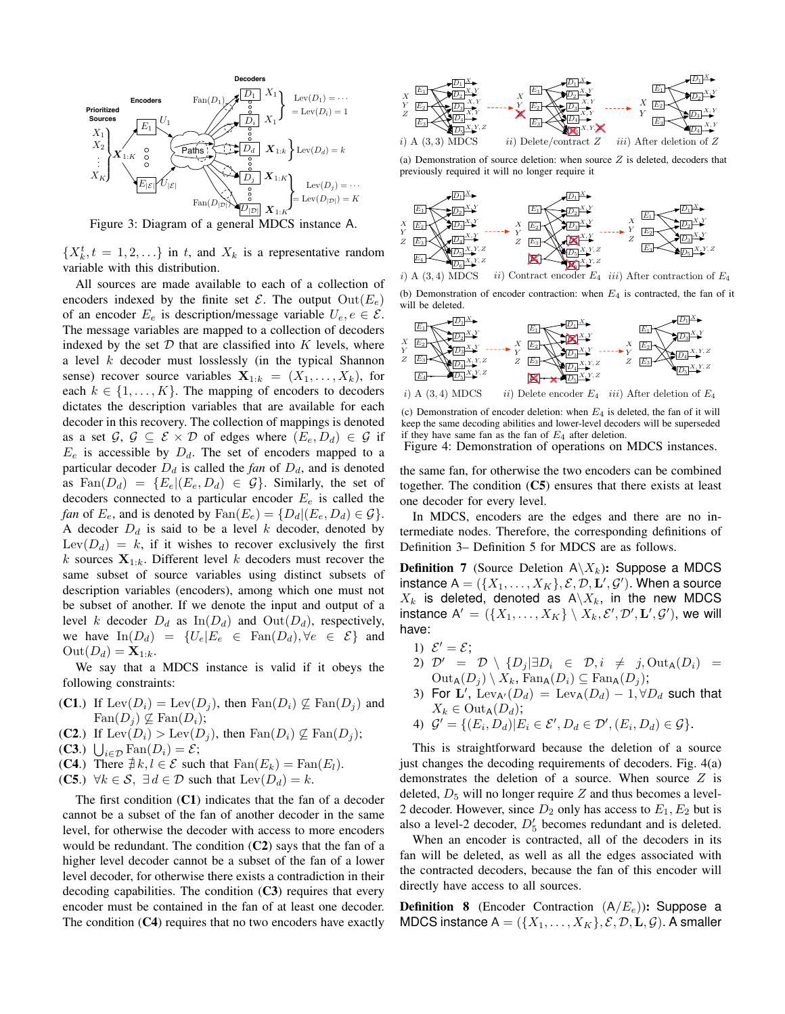

Figure 3: Diagram of a general MDCS instance A.

 $\{X_k^t, t = 1, 2, \ldots\}$  in t, and  $X_k$  is a representative random variable with this distribution.

All sources are made available to each of a collection of encoders indexed by the finite set  $\mathcal{E}$ . The output  $Out(E_e)$ of an encoder  $E_e$  is description/message variable  $U_e, e \in \mathcal{E}$ . The message variables are mapped to a collection of decoders indexed by the set  $D$  that are classified into  $K$  levels, where a level k decoder must losslessly (in the typical Shannon sense) recover source variables  $X_{1:k} = (X_1, \ldots, X_k)$ , for each  $k \in \{1, \ldots, K\}$ . The mapping of encoders to decoders dictates the description variables that are available for each decoder in this recovery. The collection of mappings is denoted as a set  $\mathcal{G}, \mathcal{G} \subseteq \mathcal{E} \times \mathcal{D}$  of edges where  $(E_e, D_d) \in \mathcal{G}$  if  $E_e$  is accessible by  $D_d$ . The set of encoders mapped to a particular decoder  $D_d$  is called the *fan* of  $D_d$ , and is denoted as  $\text{Fan}(D_d) = \{E_e | (E_e, D_d) \in \mathcal{G}\}\$ . Similarly, the set of decoders connected to a particular encoder  $E_e$  is called the *fan* of  $E_e$ , and is denoted by  $\text{Fan}(E_e) = \{D_d | (E_e, D_d) \in \mathcal{G}\}.$ A decoder  $D_d$  is said to be a level k decoder, denoted by Lev( $D_d$ ) = k, if it wishes to recover exclusively the first k sources  $X_{1:k}$ . Different level k decoders must recover the same subset of source variables using distinct subsets of description variables (encoders), among which one must not be subset of another. If we denote the input and output of a level k decoder  $D_d$  as  $\text{In}(D_d)$  and  $\text{Out}(D_d)$ , respectively, we have  $\text{In}(D_d) = \{U_e | E_e \in \text{Fan}(D_d), \forall e \in \mathcal{E}\}\$ and  $\mathrm{Out}(D_d)=\mathbf{X}_{1:k}.$ 

We say that a MDCS instance is valid if it obeys the following constraints:

- (C1.) If  $\text{Lev}(D_i) = \text{Lev}(D_j)$ , then  $\text{Fan}(D_i) \nsubseteq \text{Fan}(D_j)$  and  $\text{Fan}(D_i) \nsubseteq \text{Fan}(D_i);$
- (C2.) If  $\text{Lev}(D_i) > \text{Lev}(D_i)$ , then  $\text{Fan}(D_i) \not\subseteq \text{Fan}(D_i)$ ;
- (C3.)  $\bigcup_{i \in \mathcal{D}} \text{Fan}(D_i) = \mathcal{E};$
- (C4.) There  $\overrightarrow{\#k}, l \in \mathcal{E}$  such that  $\text{Fan}(E_k) = \text{Fan}(E_l)$ .
- (C5.)  $\forall k \in S$ ,  $\exists d \in \mathcal{D}$  such that  $\text{Lev}(D_d) = k$ .

The first condition (C1) indicates that the fan of a decoder cannot be a subset of the fan of another decoder in the same level, for otherwise the decoder with access to more encoders would be redundant. The condition (C2) says that the fan of a higher level decoder cannot be a subset of the fan of a lower level decoder, for otherwise there exists a contradiction in their decoding capabilities. The condition  $(C3)$  requires that every encoder must be contained in the fan of at least one decoder. The condition  $(C4)$  requires that no two encoders have exactly



(a) Demonstration of source deletion: when source  $Z$  is deleted, decoders that previously required it will no longer require it



i) A (3, 4) MDCS ii) Contract encoder  $E_4$  iii) After contraction of  $E_4$ 

(b) Demonstration of encoder contraction: when  $E_4$  is contracted, the fan of it will be deleted.



(c) Demonstration of encoder deletion: when  $E_4$  is deleted, the fan of it will keep the same decoding abilities and lower-level decoders will be superseded if they have same fan as the fan of  $E_4$  after deletion.

Figure 4: Demonstration of operations on MDCS instances.

the same fan, for otherwise the two encoders can be combined together. The condition  $(C5)$  ensures that there exists at least one decoder for every level.

In MDCS, encoders are the edges and there are no intermediate nodes. Therefore, the corresponding definitions of Definition 3– Definition 5 for MDCS are as follows.

**Definition 7** (Source Deletion  $A \ X_k$ ): Suppose a MDCS instance  $A = (\{X_1, \ldots, X_K\}, \mathcal{E}, \mathcal{D}, \mathbf{L'}, \mathcal{G'})$ . When a source  $X_k$  is deleted, denoted as  $A\backslash X_k$ , in the new MDCS instance  $\mathsf{A}' = (\{X_1, \ldots, X_K\} \setminus X_k, \mathcal{E}', \mathcal{D}', \mathbf{L}', \mathcal{G}'),$  we will have:

- 1)  $\mathcal{E}' = \mathcal{E}$ ;
- 2)  $\mathcal{D}' = \mathcal{D} \setminus \{D_j | \exists D_i \in \mathcal{D}, i \neq j, \text{Out}_A(D_i) =$  $\mathrm{Out}_{\mathsf{A}}(D_i) \setminus X_k$ ,  $\mathrm{Fan}_{\mathsf{A}}(D_i) \subseteq \mathrm{Fan}_{\mathsf{A}}(D_i)$ ;
- 3) For L',  $\text{Lev}_{A'}(D_d) = \text{Lev}_{A}(D_d) 1, \forall D_d$  such that  $X_k \in \text{Out}_{\mathsf{A}}(D_d);$
- 4)  $G' = \{(E_i, D_d) | E_i \in \mathcal{E}', D_d \in \mathcal{D}', (E_i, D_d) \in \mathcal{G}\}.$

This is straightforward because the deletion of a source just changes the decoding requirements of decoders. Fig. 4(a) demonstrates the deletion of a source. When source  $Z$  is deleted,  $D_5$  will no longer require Z and thus becomes a level-2 decoder. However, since  $D_2$  only has access to  $E_1, E_2$  but is also a level-2 decoder,  $D'_5$  becomes redundant and is deleted.

When an encoder is contracted, all of the decoders in its fan will be deleted, as well as all the edges associated with the contracted decoders, because the fan of this encoder will directly have access to all sources.

**Definition 8** (Encoder Contraction  $(A/E_e)$ ): Suppose a MDCS instance  $A = (\{X_1, \ldots, X_K\}, \mathcal{E}, \mathcal{D}, L, \mathcal{G})$ . A smaller